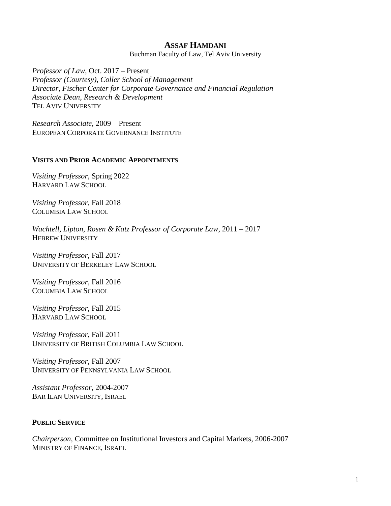# **ASSAF HAMDANI**

Buchman Faculty of Law, Tel Aviv University

*Professor of Law,* Oct. 2017 – Present *Professor (Courtesy), Coller School of Management Director, Fischer Center for Corporate Governance and Financial Regulation Associate Dean, Research & Development* TEL AVIV UNIVERSITY

*Research Associate,* 2009 – Present EUROPEAN CORPORATE GOVERNANCE INSTITUTE

#### **VISITS AND PRIOR ACADEMIC APPOINTMENTS**

*Visiting Professor,* Spring 2022 HARVARD LAW SCHOOL

*Visiting Professor,* Fall 2018 COLUMBIA LAW SCHOOL

*Wachtell, Lipton, Rosen & Katz Professor of Corporate Law*, 2011 – 2017 HEBREW UNIVERSITY

*Visiting Professor,* Fall 2017 UNIVERSITY OF BERKELEY LAW SCHOOL

*Visiting Professor,* Fall 2016 COLUMBIA LAW SCHOOL

*Visiting Professor*, Fall 2015 HARVARD LAW SCHOOL

*Visiting Professor*, Fall 2011 UNIVERSITY OF BRITISH COLUMBIA LAW SCHOOL

*Visiting Professor,* Fall 2007 UNIVERSITY OF PENNSYLVANIA LAW SCHOOL

*Assistant Professor,* 2004-2007 BAR ILAN UNIVERSITY, ISRAEL

## **PUBLIC SERVICE**

*Chairperson,* Committee on Institutional Investors and Capital Markets, 2006-2007 MINISTRY OF FINANCE, ISRAEL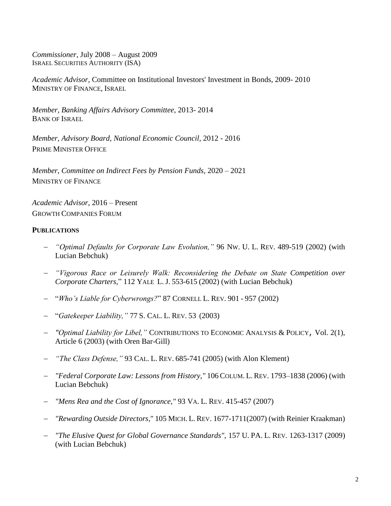*Commissioner,* July 2008 – August 2009 ISRAEL SECURITIES AUTHORITY (ISA)

*Academic Advisor,* Committee on Institutional Investors' Investment in Bonds, 2009- 2010 MINISTRY OF FINANCE, ISRAEL

*Member, Banking Affairs Advisory Committee*, 2013- 2014 BANK OF ISRAEL

*Member, Advisory Board, National Economic Council,* 2012 - 2016 PRIME MINISTER OFFICE

*Member, Committee on Indirect Fees by Pension Funds*, 2020 – 2021 MINISTRY OF FINANCE

*Academic Advisor*, 2016 – Present GROWTH COMPANIES FORUM

## **PUBLICATIONS**

- *"Optimal Defaults for Corporate Law Evolution,"* 96 NW. U. L. REV*.* 489-519 (2002) (with Lucian Bebchuk)
- *"Vigorous Race or Leisurely Walk: Reconsidering the Debate on State Competition over Corporate Charters,*" 112 YALE L. J. 553-615 (2002) (with Lucian Bebchuk)
- "*Who's Liable for Cyberwrongs?*" 87 CORNELL L. REV*.* 901 957 (2002)
- "*Gatekeeper Liability,"* 77 S. CAL. L. REV. 53 (2003)
- *"Optimal Liability for Libel,"* CONTRIBUTIONS TO ECONOMIC ANALYSIS & POLICY, Vol. 2(1), Article 6 (2003) (with Oren Bar-Gill)
- *"The Class Defense,"* 93 CAL. L. REV. 685-741 (2005) (with Alon Klement)
- *"Federal Corporate Law: Lessons from History,"* 106 COLUM. L. REV. 1793–1838 (2006) (with Lucian Bebchuk)
- *"Mens Rea and the Cost of Ignorance,"* 93 VA. L. REV. 415-457 (2007)
- *"Rewarding Outside Directors*," 105 MICH. L. REV. 1677-1711(2007) (with Reinier Kraakman)
- *"The Elusive Quest for Global Governance Standards",* 157 U. PA. L. REV*.* 1263-1317 (2009) (with Lucian Bebchuk)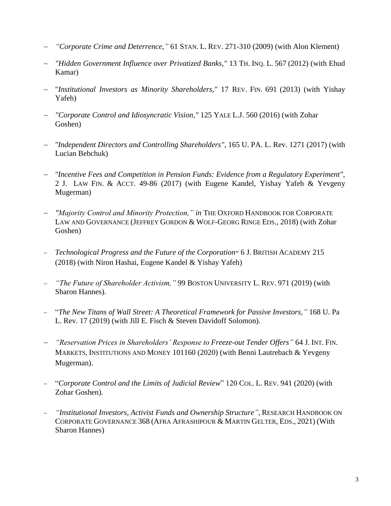- *"Corporate Crime and Deterrence,"* 61 STAN. L. REV. 271-310 (2009) (with Alon Klement)
- *"Hidden Government Influence over Privatized Banks,"* 13 TH. INQ. L. 567 (2012) (with Ehud Kamar)
- "*Institutional Investors as Minority Shareholders*,*"* 17 REV. FIN. 691 (2013) (with Yishay Yafeh)
- *"Corporate Control and Idiosyncratic Vision,"* 125 YALE L.J. 560 (2016) (with Zohar Goshen)
- *"Independent Directors and Controlling Shareholders"*, 165 U. PA. L. Rev. 1271 (2017) (with Lucian Bebchuk)
- *"Incentive Fees and Competition in Pension Funds: Evidence from a Regulatory Experiment",*  2 J. LAW FIN. & ACCT. 49-86 (2017) (with Eugene Kandel, Yishay Yafeh & Yevgeny Mugerman)
- *"Majority Control and Minority Protection," in* THE OXFORD HANDBOOK FOR CORPORATE LAW AND GOVERNANCE (JEFFREY GORDON & WOLF-GEORG RINGE EDS., 2018) (with Zohar Goshen)
- *Technological Progress and the Future of the Corporation*" 6 J. BRITISH ACADEMY 215 (2018) (with Niron Hashai, Eugene Kandel & Yishay Yafeh)
- *"The Future of Shareholder Activism,"* 99 BOSTON UNIVERSITY L. REV. 971 (2019) (with Sharon Hannes).
- "*The New Titans of Wall Street: A Theoretical Framework for Passive Investors,"* 168 U. Pa L. Rev. 17 (2019) (with Jill E. Fisch & Steven Davidoff Solomon).
- *"Reservation Prices in Shareholders' Response to Freeze-out Tender Offers"* 64 J. INT. FIN. MARKETS, INSTITUTIONS AND MONEY 101160 (2020) (with Benni Lautrebach & Yevgeny Mugerman).
- "*Corporate Control and the Limits of Judicial Review*" 120 COL. L. REV. 941 (2020) (with Zohar Goshen).
- *"Institutional Investors, Activist Funds and Ownership Structure"*, RESEARCH HANDBOOK ON CORPORATE GOVERNANCE 368 (AFRA AFRASHIPOUR & MARTIN GELTER, EDS., 2021) (With Sharon Hannes)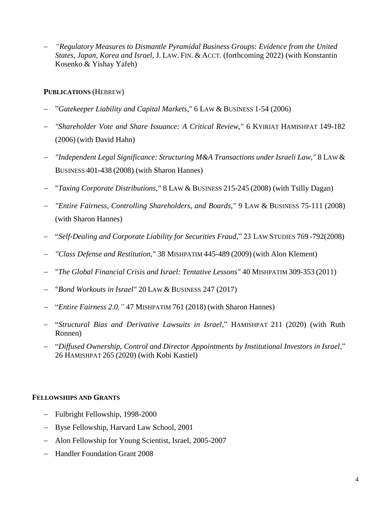*"Regulatory Measures to Dismantle Pyramidal Business Groups: Evidence from the United States, Japan, Korea and Israel*, J. LAW. FIN. & ACCT. (forthcoming 2022) (with Konstantin Kosenko & Yishay Yafeh)

## **PUBLICATIONS** (HEBREW)

- "*Gatekeeper Liability and Capital Markets*," 6 LAW & BUSINESS 1-54 (2006)
- *"Shareholder Vote and Share Issuance: A Critical Review,"* 6 KYIRIAT HAMISHPAT 149-182 (2006) (with David Hahn)
- *"Independent Legal Significance: Structuring M&A Transactions under Israeli Law,"* 8 LAW & BUSINESS 401-438 (2008) (with Sharon Hannes)
- "*Taxing Corporate Distributions,"* 8 LAW & BUSINESS 215-245 (2008) (with Tsilly Dagan)
- *"Entire Fairness, Controlling Shareholders, and Boards,"* 9 LAW & BUSINESS 75-111 (2008) (with Sharon Hannes)
- "*Self-Dealing and Corporate Liability for Securities Fraud*," 23 LAW STUDIES 769 -792(2008)
- *"Class Defense and Restitution,"* 38 MISHPATIM 445-489 (2009) (with Alon Klement)
- "*The Global Financial Crisis and Israel: Tentative Lessons"* 40 MISHPATIM 309-353 (2011)
- "*Bond Workouts in Israel"* 20 LAW & BUSINESS 247 (2017)
- "*Entire Fairness 2.0,"* 47 MISHPATIM 761 (2018) (with Sharon Hannes)
- "*Structural Bias and Derivative Lawsuits in Israel*," HAMISHPAT 211 (2020) (with Ruth Ronnen)
- "*Diffused Ownership, Control and Director Appointments by Institutional Investors in Israel*," 26 HAMISHPAT 265 (2020) (with Kobi Kastiel)

## **FELLOWSHIPS AND GRANTS**

- Fulbright Fellowship, 1998-2000
- Byse Fellowship, Harvard Law School, 2001
- Alon Fellowship for Young Scientist, Israel, 2005-2007
- Handler Foundation Grant 2008